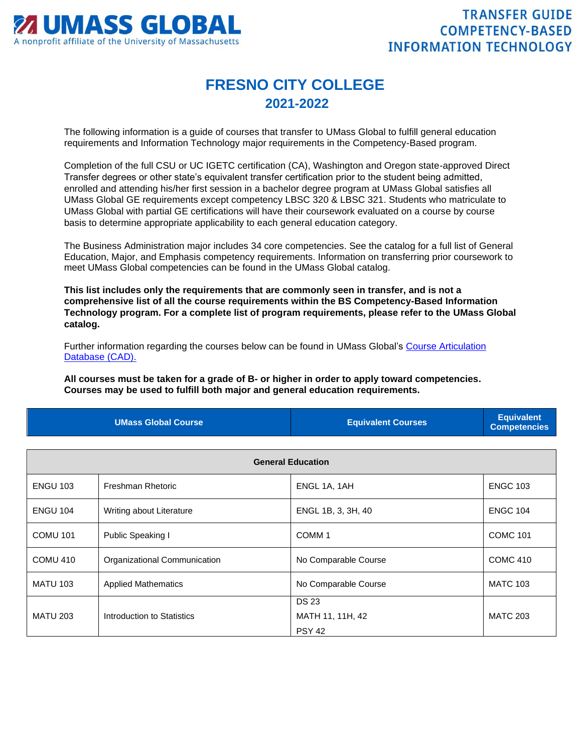

## **FRESNO CITY COLLEGE 2021-2022**

The following information is a guide of courses that transfer to UMass Global to fulfill general education requirements and Information Technology major requirements in the Competency-Based program.

Completion of the full CSU or UC IGETC certification (CA), Washington and Oregon state-approved Direct Transfer degrees or other state's equivalent transfer certification prior to the student being admitted, enrolled and attending his/her first session in a bachelor degree program at UMass Global satisfies all UMass Global GE requirements except competency LBSC 320 & LBSC 321. Students who matriculate to UMass Global with partial GE certifications will have their coursework evaluated on a course by course basis to determine appropriate applicability to each general education category.

The Business Administration major includes 34 core competencies. See the catalog for a full list of General Education, Major, and Emphasis competency requirements. Information on transferring prior coursework to meet UMass Global competencies can be found in the UMass Global catalog.

**This list includes only the requirements that are commonly seen in transfer, and is not a comprehensive list of all the course requirements within the BS Competency-Based Information Technology program. For a complete list of program requirements, please refer to the UMass Global catalog.**

Further information regarding the courses below can be found in UMass Global's [Course Articulation](http://services.umassglobal.edu/studentservices/TransferCredit/)  [Database \(CAD\).](http://services.umassglobal.edu/studentservices/TransferCredit/) 

**All courses must be taken for a grade of B- or higher in order to apply toward competencies. Courses may be used to fulfill both major and general education requirements.** 

| <b>UMass Global Course</b> | <b>Equivalent Courses</b> | <b>Equivalent</b><br>Competencies |
|----------------------------|---------------------------|-----------------------------------|
|                            |                           |                                   |

| <b>General Education</b> |                              |                      |                 |
|--------------------------|------------------------------|----------------------|-----------------|
| <b>ENGU 103</b>          | Freshman Rhetoric            | ENGL 1A, 1AH         | <b>ENGC 103</b> |
| <b>ENGU 104</b>          | Writing about Literature     | ENGL 1B, 3, 3H, 40   | <b>ENGC 104</b> |
| <b>COMU 101</b>          | Public Speaking I            | COMM <sub>1</sub>    | <b>COMC 101</b> |
| <b>COMU 410</b>          | Organizational Communication | No Comparable Course | <b>COMC 410</b> |
| <b>MATU 103</b>          | <b>Applied Mathematics</b>   | No Comparable Course | <b>MATC 103</b> |
|                          |                              | <b>DS 23</b>         |                 |
| <b>MATU 203</b>          | Introduction to Statistics   | MATH 11, 11H, 42     | <b>MATC 203</b> |
|                          |                              | <b>PSY 42</b>        |                 |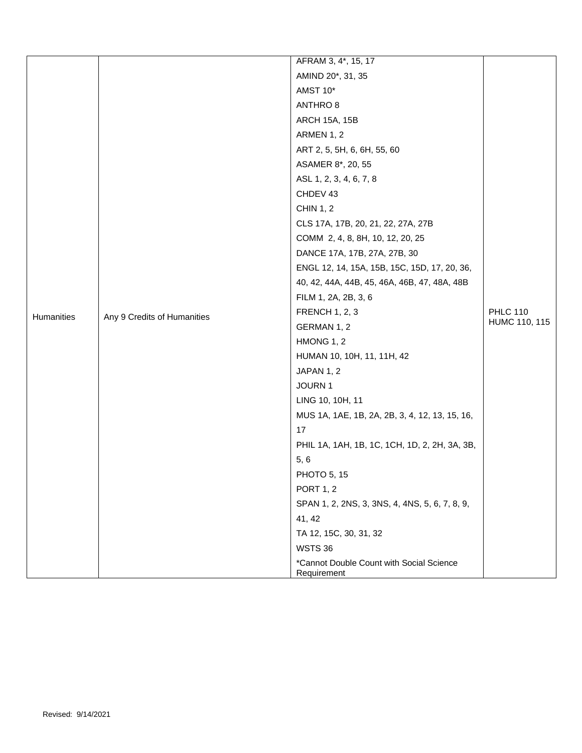|            |                                              | AFRAM 3, 4*, 15, 17                                     |                 |
|------------|----------------------------------------------|---------------------------------------------------------|-----------------|
|            |                                              | AMIND 20*, 31, 35                                       |                 |
|            |                                              | AMST 10*                                                |                 |
|            |                                              | ANTHRO 8                                                |                 |
|            |                                              | <b>ARCH 15A, 15B</b>                                    |                 |
|            |                                              | ARMEN 1, 2                                              |                 |
|            |                                              | ART 2, 5, 5H, 6, 6H, 55, 60                             |                 |
|            |                                              | ASAMER 8*, 20, 55                                       |                 |
|            |                                              | ASL 1, 2, 3, 4, 6, 7, 8                                 |                 |
|            |                                              | CHDEV 43                                                |                 |
|            |                                              | <b>CHIN 1, 2</b>                                        |                 |
|            |                                              | CLS 17A, 17B, 20, 21, 22, 27A, 27B                      |                 |
|            |                                              | COMM 2, 4, 8, 8H, 10, 12, 20, 25                        |                 |
|            | DANCE 17A, 17B, 27A, 27B, 30                 |                                                         |                 |
|            | ENGL 12, 14, 15A, 15B, 15C, 15D, 17, 20, 36, |                                                         |                 |
|            | 40, 42, 44A, 44B, 45, 46A, 46B, 47, 48A, 48B |                                                         |                 |
|            | FILM 1, 2A, 2B, 3, 6                         |                                                         |                 |
| Humanities | Any 9 Credits of Humanities                  | <b>FRENCH 1, 2, 3</b>                                   | <b>PHLC 110</b> |
|            |                                              | GERMAN 1, 2                                             | HUMC 110, 115   |
|            |                                              | HMONG 1, 2                                              |                 |
|            |                                              | HUMAN 10, 10H, 11, 11H, 42                              |                 |
|            |                                              | JAPAN 1, 2                                              |                 |
|            |                                              | JOURN 1                                                 |                 |
|            |                                              | LING 10, 10H, 11                                        |                 |
|            |                                              | MUS 1A, 1AE, 1B, 2A, 2B, 3, 4, 12, 13, 15, 16,          |                 |
|            |                                              | 17                                                      |                 |
|            |                                              | PHIL 1A, 1AH, 1B, 1C, 1CH, 1D, 2, 2H, 3A, 3B,           |                 |
|            |                                              | 5, 6                                                    |                 |
|            |                                              | PHOTO 5, 15                                             |                 |
|            |                                              | <b>PORT 1, 2</b>                                        |                 |
|            |                                              | SPAN 1, 2, 2NS, 3, 3NS, 4, 4NS, 5, 6, 7, 8, 9,          |                 |
|            |                                              | 41, 42                                                  |                 |
|            |                                              | TA 12, 15C, 30, 31, 32                                  |                 |
|            |                                              | <b>WSTS 36</b>                                          |                 |
|            |                                              | *Cannot Double Count with Social Science<br>Requirement |                 |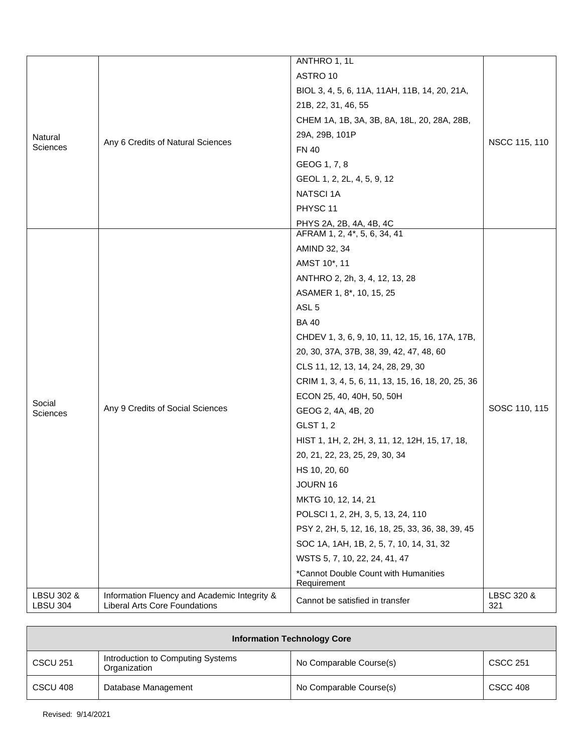|                               |                                                                                      | ANTHRO 1, 1L                                        |                   |
|-------------------------------|--------------------------------------------------------------------------------------|-----------------------------------------------------|-------------------|
|                               |                                                                                      | ASTRO 10                                            |                   |
|                               |                                                                                      | BIOL 3, 4, 5, 6, 11A, 11AH, 11B, 14, 20, 21A,       |                   |
|                               |                                                                                      | 21B, 22, 31, 46, 55                                 |                   |
|                               |                                                                                      | CHEM 1A, 1B, 3A, 3B, 8A, 18L, 20, 28A, 28B,         |                   |
| Natural                       |                                                                                      | 29A, 29B, 101P                                      |                   |
| Sciences                      | Any 6 Credits of Natural Sciences                                                    | <b>FN 40</b>                                        | NSCC 115, 110     |
|                               |                                                                                      | GEOG 1, 7, 8                                        |                   |
|                               |                                                                                      | GEOL 1, 2, 2L, 4, 5, 9, 12                          |                   |
|                               |                                                                                      | <b>NATSCI1A</b>                                     |                   |
|                               |                                                                                      | PHYSC 11                                            |                   |
|                               |                                                                                      | PHYS 2A, 2B, 4A, 4B, 4C                             |                   |
|                               |                                                                                      | AFRAM 1, 2, 4*, 5, 6, 34, 41                        |                   |
|                               |                                                                                      | AMIND 32, 34                                        |                   |
|                               |                                                                                      | AMST 10*, 11                                        |                   |
|                               |                                                                                      | ANTHRO 2, 2h, 3, 4, 12, 13, 28                      |                   |
|                               |                                                                                      | ASAMER 1, 8*, 10, 15, 25                            |                   |
|                               |                                                                                      | ASL <sub>5</sub>                                    |                   |
|                               |                                                                                      | <b>BA40</b>                                         |                   |
|                               |                                                                                      | CHDEV 1, 3, 6, 9, 10, 11, 12, 15, 16, 17A, 17B,     |                   |
|                               |                                                                                      | 20, 30, 37A, 37B, 38, 39, 42, 47, 48, 60            |                   |
|                               |                                                                                      | CLS 11, 12, 13, 14, 24, 28, 29, 30                  |                   |
|                               |                                                                                      | CRIM 1, 3, 4, 5, 6, 11, 13, 15, 16, 18, 20, 25, 36  |                   |
| Social                        |                                                                                      | ECON 25, 40, 40H, 50, 50H                           |                   |
| <b>Sciences</b>               | Any 9 Credits of Social Sciences                                                     | GEOG 2, 4A, 4B, 20                                  | SOSC 110, 115     |
|                               |                                                                                      | GLST 1, 2                                           |                   |
|                               |                                                                                      | HIST 1, 1H, 2, 2H, 3, 11, 12, 12H, 15, 17, 18,      |                   |
|                               |                                                                                      | 20, 21, 22, 23, 25, 29, 30, 34                      |                   |
|                               |                                                                                      | HS 10, 20, 60                                       |                   |
|                               |                                                                                      | JOURN 16                                            |                   |
|                               |                                                                                      | MKTG 10, 12, 14, 21                                 |                   |
|                               |                                                                                      | POLSCI 1, 2, 2H, 3, 5, 13, 24, 110                  |                   |
|                               |                                                                                      | PSY 2, 2H, 5, 12, 16, 18, 25, 33, 36, 38, 39, 45    |                   |
|                               |                                                                                      | SOC 1A, 1AH, 1B, 2, 5, 7, 10, 14, 31, 32            |                   |
|                               |                                                                                      | WSTS 5, 7, 10, 22, 24, 41, 47                       |                   |
|                               |                                                                                      | *Cannot Double Count with Humanities<br>Requirement |                   |
| LBSU 302 &<br><b>LBSU 304</b> | Information Fluency and Academic Integrity &<br><b>Liberal Arts Core Foundations</b> | Cannot be satisfied in transfer                     | LBSC 320 &<br>321 |

| <b>Information Technology Core</b> |                                                   |                         |                 |
|------------------------------------|---------------------------------------------------|-------------------------|-----------------|
| <b>CSCU 251</b>                    | Introduction to Computing Systems<br>Organization | No Comparable Course(s) | <b>CSCC 251</b> |
| CSCU 408                           | Database Management                               | No Comparable Course(s) | <b>CSCC 408</b> |